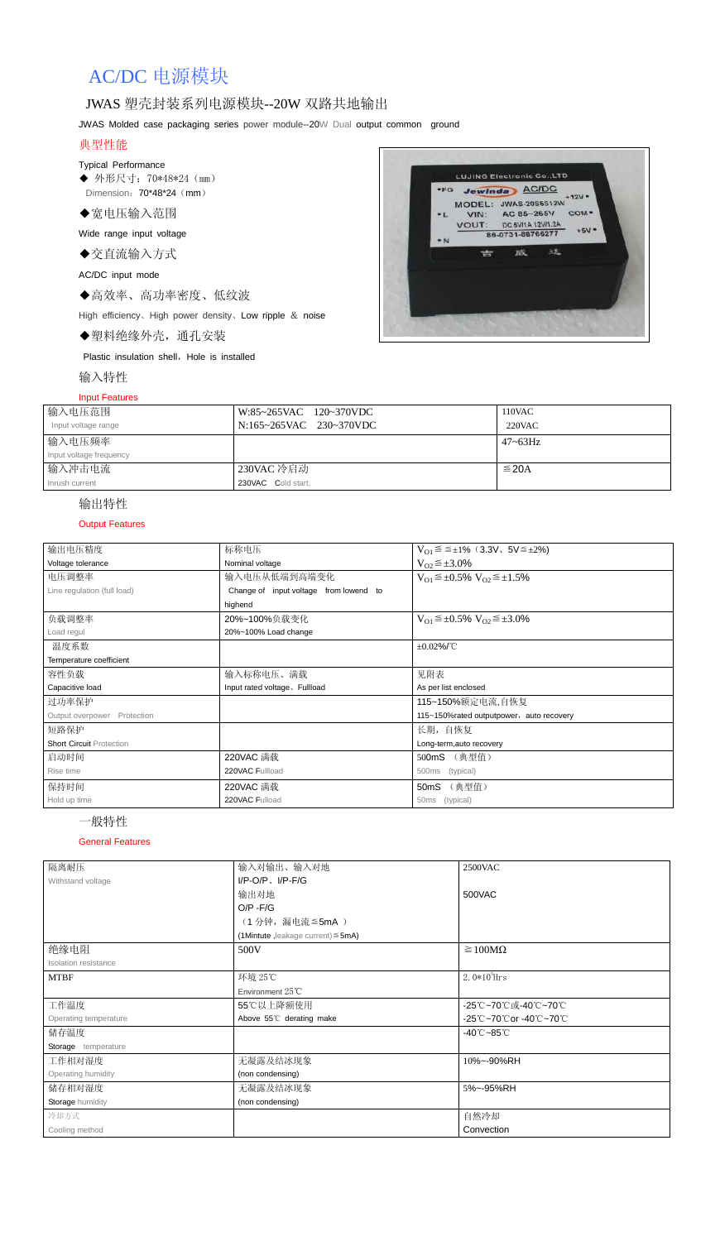# AC/DC 电源模块

## JWAS 塑壳封装系列电源模块--20W 双路共地输出

JWAS Molded case packaging series power module--20W Dual output common ground

## 典型性能

#### Typical Performance

◆ 外形尺寸: 70\*48\*24 (mm) Dimension: 70\*48\*24 (mm)

◆宽电压输入范围

Wide range input voltage

◆交直流输入方式

AC/DC input mode

◆高效率、高功率密度、低纹波

High efficiency、High power density、Low ripple & noise

◆塑料绝缘外壳,通孔安装

Plastic insulation shell, Hole is installed

输入特性

#### Input Features



| 输入电压范围<br>Input voltage range | W:85~265VAC 120~370VDC<br>N:165~265VAC 230~370VDC | 110VAC<br>220VAC |
|-------------------------------|---------------------------------------------------|------------------|
| 输入电压频率                        |                                                   | $47 - 63$ Hz     |
| Input voltage frequency       |                                                   |                  |
| 输入冲击电流                        | 230VAC 冷启动                                        | $\leq$ 20A       |
| Inrush current                | 230VAC Cold start,                                |                  |

## 输出特性

#### Output Features

## 一般特性

#### General Features

| 输出电压精度                          | 标称电压                                   | $V_{01} \le \le \pm 1\%$ (3.3V, 5V $\le \pm 2\%$ )    |
|---------------------------------|----------------------------------------|-------------------------------------------------------|
| Voltage tolerance               | Nominal voltage                        | $V_{O2} \leq \pm 3.0\%$                               |
| 电压调整率                           | 输入电压从低端到高端变化                           | $V_{O1} \leq \pm 0.5\% \text{ V}_{O2} \leq \pm 1.5\%$ |
| Line regulation (full load)     | Change of input voltage from lowend to |                                                       |
|                                 | highend                                |                                                       |
| 负载调整率                           | 20%~100%负载变化                           | $V_{O1} \leq \pm 0.5\% \text{ V}_{O2} \leq \pm 3.0\%$ |
| Load regul                      | 20%~100% Load change                   |                                                       |
| 温度系数                            |                                        | $\pm 0.02\%$ /°C                                      |
| Temperature coefficient         |                                        |                                                       |
| 容性负载                            | 输入标称电压、满载                              | 见附表                                                   |
| Capacitive load                 | Input rated voltage, Fullload          | As per list enclosed                                  |
| 过功率保护                           |                                        | 115~150%额定电流,自恢复                                      |
| Output overpower<br>Protection  |                                        | 115~150%rated outputpower, auto recovery              |
| 短路保护                            |                                        | 长期, 自恢复                                               |
| <b>Short Circuit Protection</b> |                                        | Long-term, auto recovery                              |
| 启动时间                            | 220VAC 满载                              | 500mS (典型值)                                           |
| Rise time                       | 220VAC Fullload                        | (typical)<br>500ms                                    |
| 保持时间                            | 220VAC 满载                              | (典型值)<br>50 <sub>m</sub> S                            |
| Hold up time                    | 220VAC Fulload                         | 50ms (typical)                                        |

| 隔离耐压                  | 输入对输出、输入对地                              | <b>2500VAC</b>                  |  |
|-----------------------|-----------------------------------------|---------------------------------|--|
| Withstand voltage     | $I/P$ -O/P, $I/P$ -F/G                  |                                 |  |
|                       | 输出对地                                    | 500VAC                          |  |
|                       | $O/P - F/G$                             |                                 |  |
|                       | (1分钟,漏电流≦5mA)                           |                                 |  |
|                       | (1Mintute, leakage current) $\leq$ 5mA) |                                 |  |
| 绝缘电阻                  | 500V                                    | $\geq 100M\Omega$               |  |
| Isolation resistance  |                                         |                                 |  |
| <b>MTBF</b>           | 环境 25℃                                  | $2.0*105$ Hrs                   |  |
|                       | Environment $25^{\circ}$ C              |                                 |  |
| 工作温度                  | 55℃以上降额使用                               | -25℃~70℃或-40℃~70℃               |  |
| Operating temperature | Above 55°C derating make                | -25℃~70℃or -40℃~70℃             |  |
| 储存温度                  |                                         | $-40^{\circ}$ C $-85^{\circ}$ C |  |
| Storage temperature   |                                         |                                 |  |
| 工作相对湿度                | 无凝露及结冰现象                                | 10%~-90%RH                      |  |
| Operating humidity    | (non condensing)                        |                                 |  |
| 储存相对湿度                | 无凝露及结冰现象                                | 5%~-95%RH                       |  |
| Storage humidity      | (non condensing)                        |                                 |  |
| 冷却方式                  |                                         | 自然冷却                            |  |
| Cooling method        |                                         | Convection                      |  |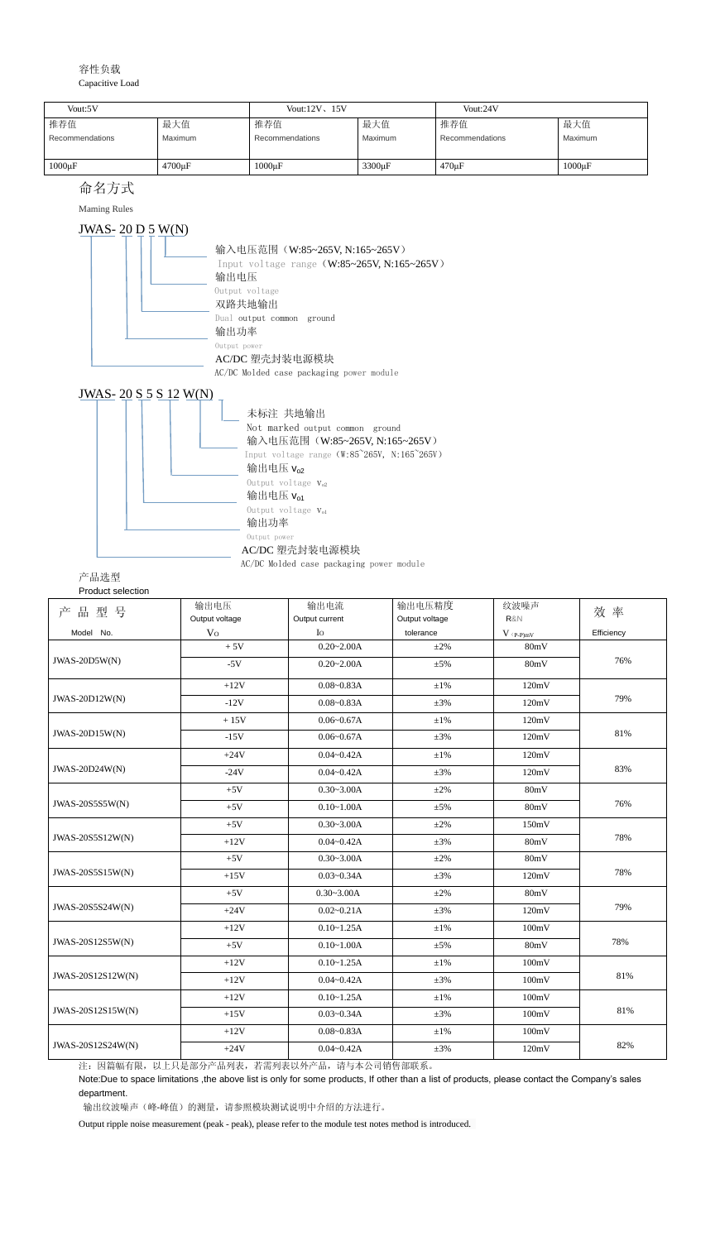#### 容性负载 Capacitive Load

## 命名方式

Maming Rules

## JWAS- 20 D 5 W(N)





AC/DC Molded case packaging power module

| 产品选型 |
|------|
|------|

Product selection

| 品型号<br>产              | 输出电压           | 输出电流                        | 输出电压精度         | 纹波噪声        | 效 率        |  |
|-----------------------|----------------|-----------------------------|----------------|-------------|------------|--|
|                       | Output voltage | Output current              | Output voltage | R&N         |            |  |
| Model No.             | V <sub>O</sub> | $I_{\rm O}$                 | tolerance      | $V$ (p-p)mV | Efficiency |  |
|                       | $+5V$          | $0.20 - 2.00A$              | $\pm 2\%$      | 80mV        |            |  |
| $JWAS-20D5W(N)$       | $-5V$          | $0.20 - 2.00A$              | $\pm 5\%$      | 80mV        | 76%        |  |
|                       | $+12V$         | $0.08 - 0.83A$              | $\pm 1\%$      | 120mV       |            |  |
| <b>JWAS-20D12W(N)</b> | $-12V$         | $0.08 - 0.83A$              | $\pm 3\%$      | 120mV       | 79%        |  |
|                       | $+15V$         | $0.06 - 0.67A$              | $\pm1\%$       | 120mV       |            |  |
| JWAS-20D15W(N)        | $-15V$         | $0.06 - 0.67A$<br>$\pm 3\%$ |                | 120mV       | 81%        |  |
|                       | $+24V$         | $0.04 - 0.42A$              | $\pm 1\%$      | 120mV       |            |  |
| JWAS-20D24W(N)        | $-24V$         | $0.04 - 0.42A$              | $\pm 3\%$      | 120mV       | 83%        |  |
| JWAS-20S5S5W(N)       | $+5V$          | $0.30 - 3.00A$              | $\pm 2\%$      | 80mV        |            |  |
|                       | $+5V$          | $0.10 - 1.00A$              | $\pm 5\%$      | 80mV        | 76%        |  |
|                       | $+5V$          | $0.30 - 3.00A$              | $\pm 2\%$      | 150mV       |            |  |
| JWAS-20S5S12W(N)      | $+12V$         | $0.04 - 0.42A$              | $\pm 3\%$      | 80mV        | 78%        |  |
|                       | $+5V$          | $0.30 - 3.00A$              | $\pm 2\%$      | 80mV        |            |  |
| JWAS-20S5S15W(N)      | $+15V$         | $0.03 - 0.34A$              | $\pm 3\%$      | 120mV       | 78%        |  |
|                       | $+5V$          | $0.30 - 3.00A$              | $\pm 2\%$      | 80mV        |            |  |
| JWAS-20S5S24W(N)      | $+24V$         | $0.02 - 0.21A$              | $\pm 3\%$      | 120mV       | 79%        |  |
| JWAS-20S12S5W(N)      | $+12V$         | $0.10 - 1.25A$              | $\pm 1\%$      | 100mV       |            |  |
|                       | $+5V$          | $0.10 - 1.00A$              | $\pm 5\%$      | 80mV        | 78%        |  |
| JWAS-20S12S12W(N)     | $+12V$         | $0.10 - 1.25A$              | $\pm 1\%$      | 100mV       |            |  |
|                       | $+12V$         | $0.04 - 0.42A$              | $\pm 3\%$      | 100mV       | 81%        |  |
| JWAS-20S12S15W(N)     | $+12V$         | $0.10 - 1.25A$              | $\pm1\%$       | 100mV       |            |  |
|                       | $+15V$         | $0.03 - 0.34A$              | $\pm 3\%$      | 100mV       | 81%        |  |
|                       | $+12V$         | $0.08 - 0.83A$              | $\pm1\%$       | 100mV       |            |  |
| JWAS-20S12S24W(N)     | $+24V$         | $0.04 - 0.42A$              | $\pm 3\%$      | 120mV       | 82%        |  |

注:因篇幅有限,以上只是部分产品列表,若需列表以外产品,请与本公司销售部联系。

Note:Due to space limitations ,the above list is only for some products, If other than a list of products, please contact the Company's sales department.

输出纹波噪声(峰-峰值)的测量,请参照模块测试说明中介绍的方法进行。

Output ripple noise measurement (peak - peak), please refer to the module test notes method is introduced.

| Vout:5V         |                     | Vout: $12V$ , $15V$ |                    | Vout:24V        |                |
|-----------------|---------------------|---------------------|--------------------|-----------------|----------------|
| 推荐值             | 最大值                 | 推荐值                 | 最大值                | 推荐值             | 最大值            |
| Recommendations | <b>Maximum</b>      | Recommendations     | Maximum            | Recommendations | <b>Maximum</b> |
|                 |                     |                     |                    |                 |                |
| $1000\mu F$     | 4700 <sub>u</sub> F | $1000 \mu F$        | 3300 <sub>µF</sub> | $470 \mu F$     | $1000\mu F$    |